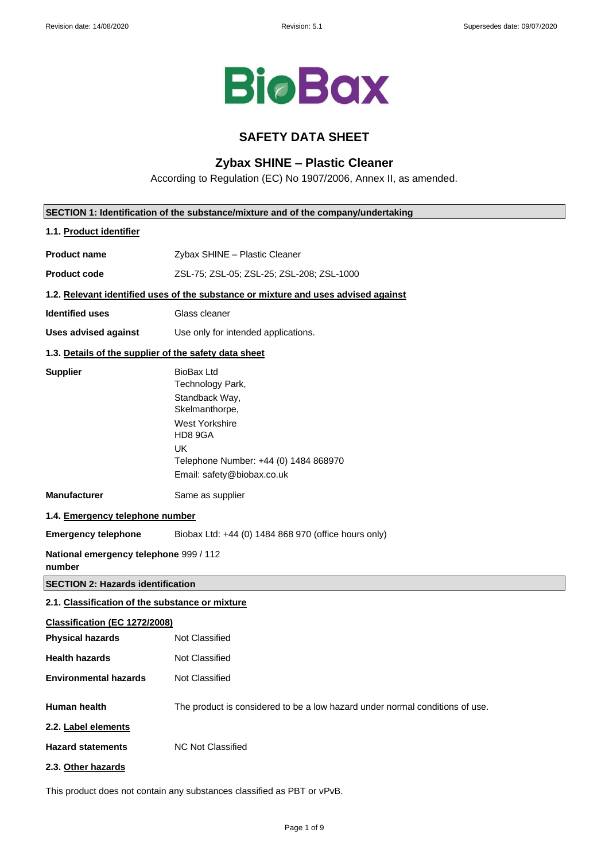

## **SAFETY DATA SHEET**

## **Zybax SHINE – Plastic Cleaner**

According to Regulation (EC) No 1907/2006, Annex II, as amended.

|                                                       | SECTION 1: Identification of the substance/mixture and of the company/undertaking                                                                                                          |
|-------------------------------------------------------|--------------------------------------------------------------------------------------------------------------------------------------------------------------------------------------------|
| 1.1. Product identifier                               |                                                                                                                                                                                            |
| <b>Product name</b>                                   | Zybax SHINE - Plastic Cleaner                                                                                                                                                              |
| <b>Product code</b>                                   | ZSL-75; ZSL-05; ZSL-25; ZSL-208; ZSL-1000                                                                                                                                                  |
|                                                       | 1.2. Relevant identified uses of the substance or mixture and uses advised against                                                                                                         |
| <b>Identified uses</b>                                | Glass cleaner                                                                                                                                                                              |
| <b>Uses advised against</b>                           | Use only for intended applications.                                                                                                                                                        |
| 1.3. Details of the supplier of the safety data sheet |                                                                                                                                                                                            |
| <b>Supplier</b>                                       | <b>BioBax Ltd</b><br>Technology Park,<br>Standback Way,<br>Skelmanthorpe,<br>West Yorkshire<br>HD8 9GA<br><b>UK</b><br>Telephone Number: +44 (0) 1484 868970<br>Email: safety@biobax.co.uk |
| <b>Manufacturer</b>                                   | Same as supplier                                                                                                                                                                           |
| 1.4. Emergency telephone number                       |                                                                                                                                                                                            |
| <b>Emergency telephone</b>                            | Biobax Ltd: +44 (0) 1484 868 970 (office hours only)                                                                                                                                       |
| National emergency telephone 999 / 112<br>number      |                                                                                                                                                                                            |
| <b>SECTION 2: Hazards identification</b>              |                                                                                                                                                                                            |
| 2.1. Classification of the substance or mixture       |                                                                                                                                                                                            |
| Classification (EC 1272/2008)                         |                                                                                                                                                                                            |
| <b>Physical hazards</b>                               | Not Classified                                                                                                                                                                             |
| <b>Health hazards</b>                                 | Not Classified                                                                                                                                                                             |
| <b>Environmental hazards</b>                          | Not Classified                                                                                                                                                                             |
| Human health<br>2.2. Label elements                   | The product is considered to be a low hazard under normal conditions of use.                                                                                                               |
| <b>Hazard statements</b>                              | <b>NC Not Classified</b>                                                                                                                                                                   |
| 2.3. Other hazards                                    |                                                                                                                                                                                            |
|                                                       | This product does not contain any substances classified as PBT or vPvB.                                                                                                                    |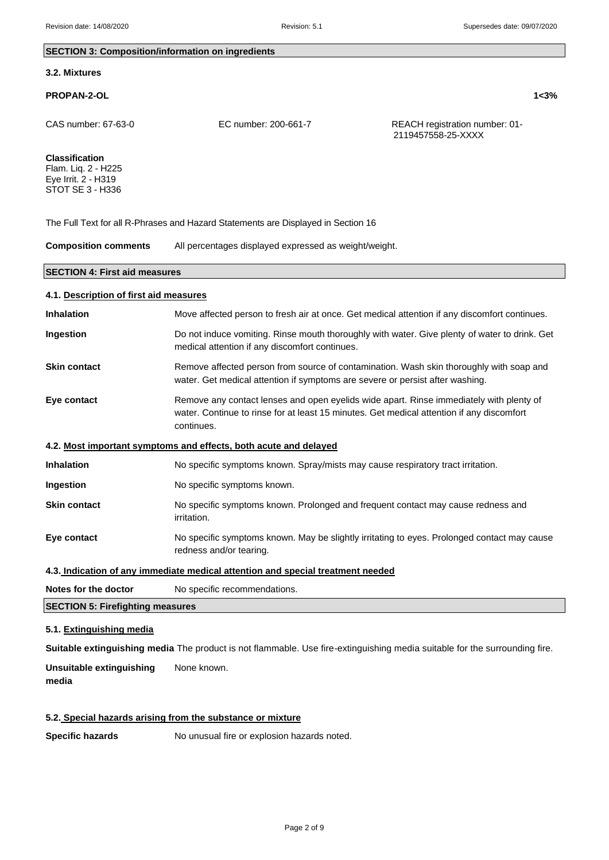#### **SECTION 3: Composition/information on ingredients**

#### **3.2. Mixtures**

#### **PROPAN-2-OL 1<3%**

CAS number: 67-63-0 EC number: 200-661-7 REACH registration number: 01- 2119457558-25-XXXX

## **Classification**

Flam. Liq. 2 - H225 Eye Irrit. 2 - H319 STOT SE 3 - H336

The Full Text for all R-Phrases and Hazard Statements are Displayed in Section 16

**Composition comments** All percentages displayed expressed as weight/weight.

#### **SECTION 4: First aid measures**

# **4.1. Description of first aid measures Inhalation** Move affected person to fresh air at once. Get medical attention if any discomfort continues. **Ingestion** Do not induce vomiting. Rinse mouth thoroughly with water. Give plenty of water to drink. Get medical attention if any discomfort continues. **Skin contact** Remove affected person from source of contamination. Wash skin thoroughly with soap and water. Get medical attention if symptoms are severe or persist after washing. **Eye contact** Remove any contact lenses and open eyelids wide apart. Rinse immediately with plenty of water. Continue to rinse for at least 15 minutes. Get medical attention if any discomfort continues. **4.2. Most important symptoms and effects, both acute and delayed Inhalation** No specific symptoms known. Spray/mists may cause respiratory tract irritation. **Ingestion** No specific symptoms known. **Skin contact** No specific symptoms known. Prolonged and frequent contact may cause redness and irritation. **Eye contact** No specific symptoms known. May be slightly irritating to eyes. Prolonged contact may cause redness and/or tearing. **4.3. Indication of any immediate medical attention and special treatment needed**

**Notes for the doctor** No specific recommendations.

**SECTION 5: Firefighting measures**

#### **5.1. Extinguishing media**

**Suitable extinguishing media** The product is not flammable. Use fire-extinguishing media suitable for the surrounding fire.

**Unsuitable extinguishing** None known. **media**

## **5.2. Special hazards arising from the substance or mixture**

**Specific hazards** No unusual fire or explosion hazards noted.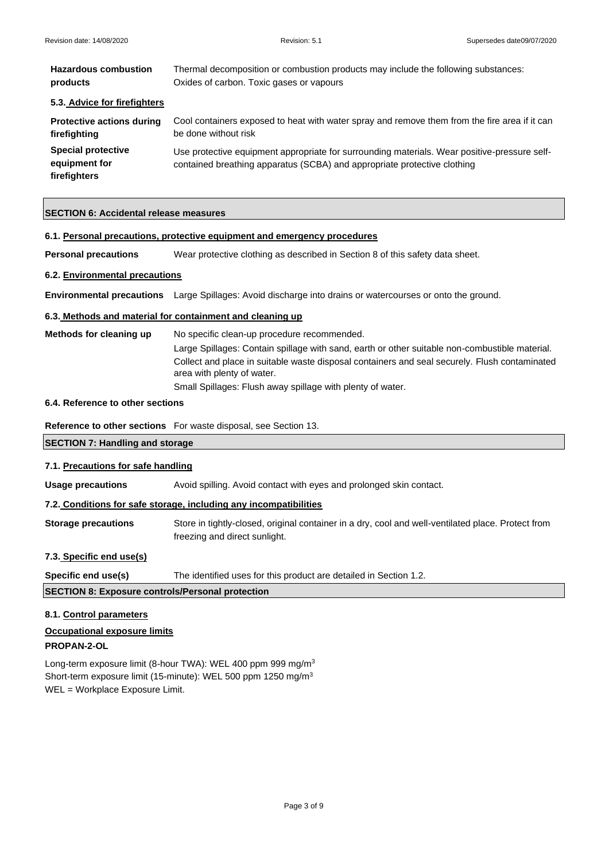| <b>Hazardous combustion</b>                                | Thermal decomposition or combustion products may include the following substances:                                                                                       |  |
|------------------------------------------------------------|--------------------------------------------------------------------------------------------------------------------------------------------------------------------------|--|
| products                                                   | Oxides of carbon. Toxic gases or vapours                                                                                                                                 |  |
| 5.3. Advice for firefighters                               |                                                                                                                                                                          |  |
| <b>Protective actions during</b>                           | Cool containers exposed to heat with water spray and remove them from the fire area if it can                                                                            |  |
| firefighting                                               | be done without risk                                                                                                                                                     |  |
| <b>Special protective</b><br>equipment for<br>firefighters | Use protective equipment appropriate for surrounding materials. Wear positive-pressure self-<br>contained breathing apparatus (SCBA) and appropriate protective clothing |  |

## **SECTION 6: Accidental release measures**

| 6.1. Personal precautions, protective equipment and emergency procedures |                                                                                                                             |  |
|--------------------------------------------------------------------------|-----------------------------------------------------------------------------------------------------------------------------|--|
| <b>Personal precautions</b>                                              | Wear protective clothing as described in Section 8 of this safety data sheet.                                               |  |
| 6.2. Environmental precautions                                           |                                                                                                                             |  |
|                                                                          | Environmental precautions Large Spillages: Avoid discharge into drains or watercourses or onto the ground.                  |  |
| 6.3. Methods and material for containment and cleaning up                |                                                                                                                             |  |
| Methods for cleaning up<br>No specific clean-up procedure recommended.   |                                                                                                                             |  |
|                                                                          | Large Spillages: Contain spillage with sand, earth or other suitable non-combustible material.                              |  |
|                                                                          | Collect and place in suitable waste disposal containers and seal securely. Flush contaminated<br>area with plenty of water. |  |
|                                                                          | Small Spillages: Flush away spillage with plenty of water.                                                                  |  |
| 6.4. Reference to other sections                                         |                                                                                                                             |  |
|                                                                          | <b>Reference to other sections</b> For waste disposal, see Section 13.                                                      |  |
| <b>SECTION 7: Handling and storage</b>                                   |                                                                                                                             |  |
| 7.1. Precautions for safe handling                                       |                                                                                                                             |  |
| <b>Usage precautions</b>                                                 | Avoid spilling. Avoid contact with eyes and prolonged skin contact.                                                         |  |
| 7.2. Conditions for safe storage, including any incompatibilities        |                                                                                                                             |  |
| <b>Storage precautions</b>                                               | Store in tightly-closed, original container in a dry, cool and well-ventilated place. Protect from                          |  |

## **7.3. Specific end use(s)**

**Specific end use(s)** The identified uses for this product are detailed in Section 1.2.

## **SECTION 8: Exposure controls/Personal protection**

## **8.1. Control parameters**

**Occupational exposure limits** 

## **PROPAN-2-OL**

Long-term exposure limit (8-hour TWA): WEL 400 ppm 999 mg/m<sup>3</sup> Short-term exposure limit (15-minute): WEL 500 ppm 1250 mg/m<sup>3</sup> WEL = Workplace Exposure Limit.

freezing and direct sunlight.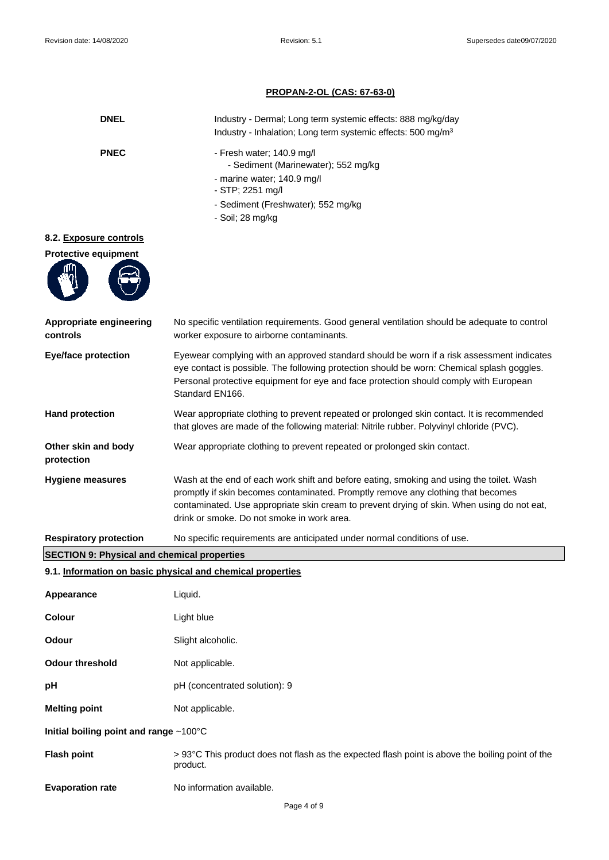## **PROPAN-2-OL (CAS: 67-63-0)**

| <b>DNEL</b>                                        | Industry - Dermal; Long term systemic effects: 888 mg/kg/day<br>Industry - Inhalation; Long term systemic effects: 500 mg/m <sup>3</sup>                                                                                                                                                                                 |  |
|----------------------------------------------------|--------------------------------------------------------------------------------------------------------------------------------------------------------------------------------------------------------------------------------------------------------------------------------------------------------------------------|--|
| <b>PNEC</b>                                        | - Fresh water; 140.9 mg/l<br>- Sediment (Marinewater); 552 mg/kg<br>- marine water; 140.9 mg/l<br>- STP; 2251 mg/l<br>- Sediment (Freshwater); 552 mg/kg<br>- Soil; 28 mg/kg                                                                                                                                             |  |
| 8.2. Exposure controls                             |                                                                                                                                                                                                                                                                                                                          |  |
| <b>Protective equipment</b>                        |                                                                                                                                                                                                                                                                                                                          |  |
| Appropriate engineering<br>controls                | No specific ventilation requirements. Good general ventilation should be adequate to control<br>worker exposure to airborne contaminants.                                                                                                                                                                                |  |
| <b>Eye/face protection</b>                         | Eyewear complying with an approved standard should be worn if a risk assessment indicates<br>eye contact is possible. The following protection should be worn: Chemical splash goggles.<br>Personal protective equipment for eye and face protection should comply with European<br>Standard EN166.                      |  |
| <b>Hand protection</b>                             | Wear appropriate clothing to prevent repeated or prolonged skin contact. It is recommended<br>that gloves are made of the following material: Nitrile rubber. Polyvinyl chloride (PVC).                                                                                                                                  |  |
| Other skin and body<br>protection                  | Wear appropriate clothing to prevent repeated or prolonged skin contact.                                                                                                                                                                                                                                                 |  |
| <b>Hygiene measures</b>                            | Wash at the end of each work shift and before eating, smoking and using the toilet. Wash<br>promptly if skin becomes contaminated. Promptly remove any clothing that becomes<br>contaminated. Use appropriate skin cream to prevent drying of skin. When using do not eat,<br>drink or smoke. Do not smoke in work area. |  |
| <b>Respiratory protection</b>                      | No specific requirements are anticipated under normal conditions of use.                                                                                                                                                                                                                                                 |  |
| <b>SECTION 9: Physical and chemical properties</b> |                                                                                                                                                                                                                                                                                                                          |  |
|                                                    | 9.1. Information on basic physical and chemical properties                                                                                                                                                                                                                                                               |  |
| Appearance                                         | Liquid.                                                                                                                                                                                                                                                                                                                  |  |
| Colour                                             | Light blue                                                                                                                                                                                                                                                                                                               |  |
| Odour                                              | Slight alcoholic.                                                                                                                                                                                                                                                                                                        |  |
| <b>Odour threshold</b>                             | Not applicable.                                                                                                                                                                                                                                                                                                          |  |
| рH                                                 | pH (concentrated solution): 9                                                                                                                                                                                                                                                                                            |  |
| <b>Melting point</b>                               | Not applicable.                                                                                                                                                                                                                                                                                                          |  |
| Initial boiling point and range ~100°C             |                                                                                                                                                                                                                                                                                                                          |  |
| <b>Flash point</b>                                 | > 93°C This product does not flash as the expected flash point is above the boiling point of the<br>product.                                                                                                                                                                                                             |  |
| <b>Evaporation rate</b>                            | No information available.                                                                                                                                                                                                                                                                                                |  |
|                                                    | Page 4 of 9                                                                                                                                                                                                                                                                                                              |  |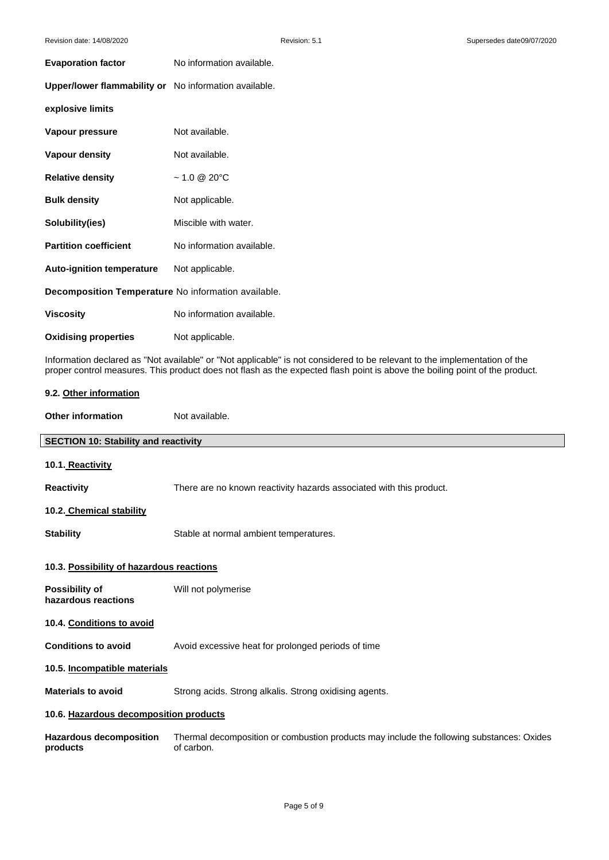| <b>Evaporation factor</b>                             | No information available. |  |
|-------------------------------------------------------|---------------------------|--|
| Upper/lower flammability or No information available. |                           |  |
| explosive limits                                      |                           |  |
| Vapour pressure                                       | Not available.            |  |
| <b>Vapour density</b>                                 | Not available.            |  |
| <b>Relative density</b>                               | $~1.0 \& 20^{\circ}$ C    |  |
| <b>Bulk density</b>                                   | Not applicable.           |  |
| Solubility(ies)                                       | Miscible with water.      |  |
| <b>Partition coefficient</b>                          | No information available. |  |
| <b>Auto-ignition temperature</b>                      | Not applicable.           |  |
| Decomposition Temperature No information available.   |                           |  |
| <b>Viscosity</b>                                      | No information available. |  |
| <b>Oxidising properties</b>                           | Not applicable.           |  |

**Comments** Information declared as "Not available" or "Not applicable" is not considered to be relevant to the implementation of the proper control measures. This product does not flash as the expected flash point is above the boiling point of the product.

| 9.2. Other information                      |                                                                                                         |  |
|---------------------------------------------|---------------------------------------------------------------------------------------------------------|--|
| <b>Other information</b>                    | Not available.                                                                                          |  |
| <b>SECTION 10: Stability and reactivity</b> |                                                                                                         |  |
| 10.1. Reactivity                            |                                                                                                         |  |
| <b>Reactivity</b>                           | There are no known reactivity hazards associated with this product.                                     |  |
| 10.2. Chemical stability                    |                                                                                                         |  |
| <b>Stability</b>                            | Stable at normal ambient temperatures.                                                                  |  |
| 10.3. Possibility of hazardous reactions    |                                                                                                         |  |
| Possibility of<br>hazardous reactions       | Will not polymerise                                                                                     |  |
| 10.4. Conditions to avoid                   |                                                                                                         |  |
| <b>Conditions to avoid</b>                  | Avoid excessive heat for prolonged periods of time                                                      |  |
| 10.5. Incompatible materials                |                                                                                                         |  |
| <b>Materials to avoid</b>                   | Strong acids. Strong alkalis. Strong oxidising agents.                                                  |  |
| 10.6. Hazardous decomposition products      |                                                                                                         |  |
| <b>Hazardous decomposition</b><br>products  | Thermal decomposition or combustion products may include the following substances: Oxides<br>of carbon. |  |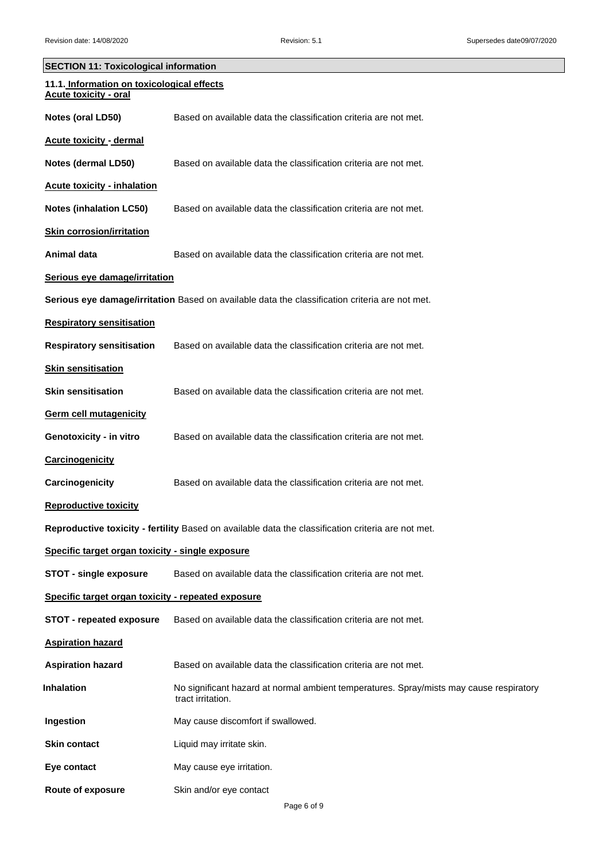| SECTION 11: Toxicological information                                      |                                                                                                              |  |
|----------------------------------------------------------------------------|--------------------------------------------------------------------------------------------------------------|--|
| 11.1. Information on toxicological effects<br><b>Acute toxicity - oral</b> |                                                                                                              |  |
| Notes (oral LD50)                                                          | Based on available data the classification criteria are not met.                                             |  |
| <b>Acute toxicity - dermal</b>                                             |                                                                                                              |  |
| Notes (dermal LD50)                                                        | Based on available data the classification criteria are not met.                                             |  |
| <b>Acute toxicity - inhalation</b>                                         |                                                                                                              |  |
| <b>Notes (inhalation LC50)</b>                                             | Based on available data the classification criteria are not met.                                             |  |
| <b>Skin corrosion/irritation</b>                                           |                                                                                                              |  |
| Animal data                                                                | Based on available data the classification criteria are not met.                                             |  |
| Serious eye damage/irritation                                              |                                                                                                              |  |
|                                                                            | Serious eye damage/irritation Based on available data the classification criteria are not met.               |  |
| <b>Respiratory sensitisation</b>                                           |                                                                                                              |  |
| <b>Respiratory sensitisation</b>                                           | Based on available data the classification criteria are not met.                                             |  |
| <b>Skin sensitisation</b>                                                  |                                                                                                              |  |
| <b>Skin sensitisation</b>                                                  | Based on available data the classification criteria are not met.                                             |  |
| <b>Germ cell mutagenicity</b>                                              |                                                                                                              |  |
| Genotoxicity - in vitro                                                    | Based on available data the classification criteria are not met.                                             |  |
| <b>Carcinogenicity</b>                                                     |                                                                                                              |  |
| Carcinogenicity                                                            | Based on available data the classification criteria are not met.                                             |  |
| <b>Reproductive toxicity</b>                                               |                                                                                                              |  |
|                                                                            | Reproductive toxicity - fertility Based on available data the classification criteria are not met.           |  |
| Specific target organ toxicity - single exposure                           |                                                                                                              |  |
| <b>STOT - single exposure</b>                                              | Based on available data the classification criteria are not met.                                             |  |
| Specific target organ toxicity - repeated exposure                         |                                                                                                              |  |
| <b>STOT - repeated exposure</b>                                            | Based on available data the classification criteria are not met.                                             |  |
| <b>Aspiration hazard</b>                                                   |                                                                                                              |  |
| <b>Aspiration hazard</b>                                                   | Based on available data the classification criteria are not met.                                             |  |
| <b>Inhalation</b>                                                          | No significant hazard at normal ambient temperatures. Spray/mists may cause respiratory<br>tract irritation. |  |
| Ingestion                                                                  | May cause discomfort if swallowed.                                                                           |  |
| <b>Skin contact</b>                                                        | Liquid may irritate skin.                                                                                    |  |
| Eye contact                                                                | May cause eye irritation.                                                                                    |  |
| Route of exposure                                                          | Skin and/or eye contact                                                                                      |  |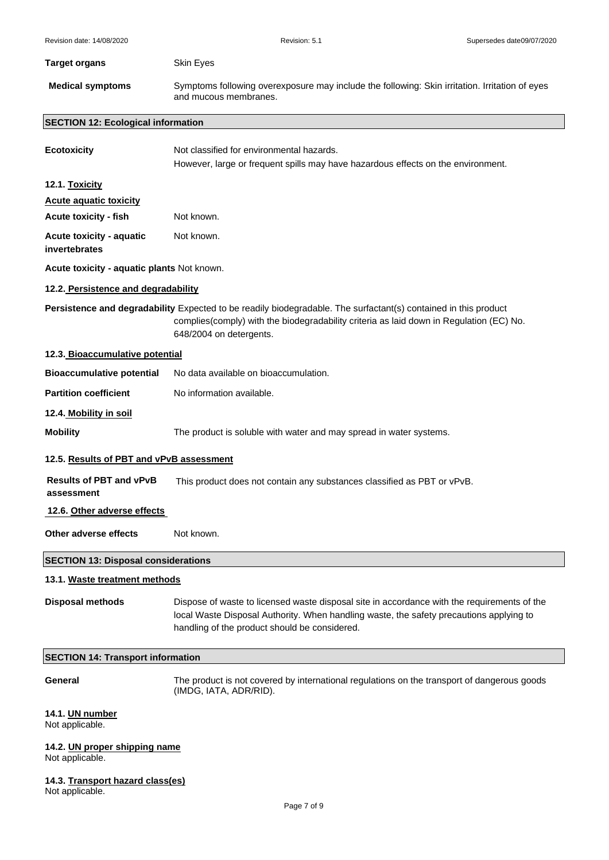| <b>Target organs</b>                            | Skin Eyes                                                                                                                                                                                                                               |
|-------------------------------------------------|-----------------------------------------------------------------------------------------------------------------------------------------------------------------------------------------------------------------------------------------|
| <b>Medical symptoms</b>                         | Symptoms following overexposure may include the following: Skin irritation. Irritation of eyes<br>and mucous membranes.                                                                                                                 |
| <b>SECTION 12: Ecological information</b>       |                                                                                                                                                                                                                                         |
| <b>Ecotoxicity</b>                              | Not classified for environmental hazards.<br>However, large or frequent spills may have hazardous effects on the environment.                                                                                                           |
| 12.1. Toxicity                                  |                                                                                                                                                                                                                                         |
| <b>Acute aquatic toxicity</b>                   |                                                                                                                                                                                                                                         |
| <b>Acute toxicity - fish</b>                    | Not known.                                                                                                                                                                                                                              |
| Acute toxicity - aquatic<br>invertebrates       | Not known.                                                                                                                                                                                                                              |
| Acute toxicity - aquatic plants Not known.      |                                                                                                                                                                                                                                         |
| 12.2. Persistence and degradability             |                                                                                                                                                                                                                                         |
|                                                 | Persistence and degradability Expected to be readily biodegradable. The surfactant(s) contained in this product<br>complies(comply) with the biodegradability criteria as laid down in Regulation (EC) No.<br>648/2004 on detergents.   |
| 12.3. Bioaccumulative potential                 |                                                                                                                                                                                                                                         |
| <b>Bioaccumulative potential</b>                | No data available on bioaccumulation.                                                                                                                                                                                                   |
| <b>Partition coefficient</b>                    | No information available.                                                                                                                                                                                                               |
| 12.4. Mobility in soil                          |                                                                                                                                                                                                                                         |
| <b>Mobility</b>                                 | The product is soluble with water and may spread in water systems.                                                                                                                                                                      |
| 12.5. Results of PBT and vPvB assessment        |                                                                                                                                                                                                                                         |
| <b>Results of PBT and vPvB</b><br>assessment    | This product does not contain any substances classified as PBT or vPvB.                                                                                                                                                                 |
| 12.6. Other adverse effects                     |                                                                                                                                                                                                                                         |
| Other adverse effects                           | Not known.                                                                                                                                                                                                                              |
| <b>SECTION 13: Disposal considerations</b>      |                                                                                                                                                                                                                                         |
| 13.1. Waste treatment methods                   |                                                                                                                                                                                                                                         |
| <b>Disposal methods</b>                         | Dispose of waste to licensed waste disposal site in accordance with the requirements of the<br>local Waste Disposal Authority. When handling waste, the safety precautions applying to<br>handling of the product should be considered. |
| <b>SECTION 14: Transport information</b>        |                                                                                                                                                                                                                                         |
| General                                         | The product is not covered by international regulations on the transport of dangerous goods<br>(IMDG, IATA, ADR/RID).                                                                                                                   |
| 14.1. UN number<br>Not applicable.              |                                                                                                                                                                                                                                         |
| 14.2. UN proper shipping name<br>Not applicable |                                                                                                                                                                                                                                         |

Not applicable.

**14.3. Transport hazard class(es)**

Not applicable.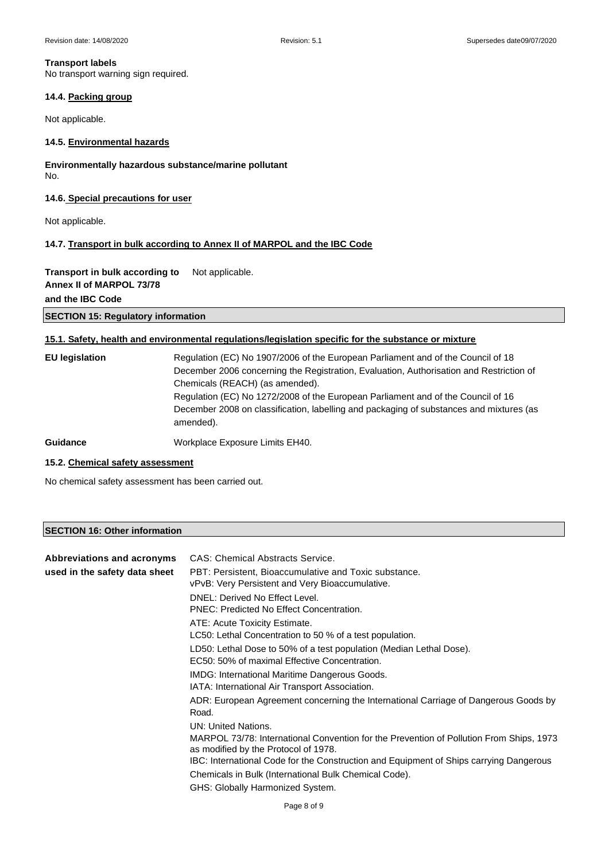## **Transport labels**

No transport warning sign required.

## **14.4. Packing group**

Not applicable.

## **14.5. Environmental hazards**

**Environmentally hazardous substance/marine pollutant**  No.

## **14.6. Special precautions for user**

Not applicable.

## **14.7. Transport in bulk according to Annex II of MARPOL and the IBC Code**

## **Transport in bulk according to** Not applicable.

**Annex II of MARPOL 73/78**

## **and the IBC Code**

## **SECTION 15: Regulatory information**

## **15.1. Safety, health and environmental regulations/legislation specific for the substance or mixture**

| <b>EU</b> legislation | Regulation (EC) No 1907/2006 of the European Parliament and of the Council of 18<br>December 2006 concerning the Registration, Evaluation, Authorisation and Restriction of<br>Chemicals (REACH) (as amended).<br>Regulation (EC) No 1272/2008 of the European Parliament and of the Council of 16<br>December 2008 on classification, labelling and packaging of substances and mixtures (as<br>amended). |
|-----------------------|------------------------------------------------------------------------------------------------------------------------------------------------------------------------------------------------------------------------------------------------------------------------------------------------------------------------------------------------------------------------------------------------------------|
| <b>Guidance</b>       | Workplace Exposure Limits EH40.                                                                                                                                                                                                                                                                                                                                                                            |

## **15.2. Chemical safety assessment**

No chemical safety assessment has been carried out.

## **SECTION 16: Other information**

| Abbreviations and acronyms    | <b>CAS: Chemical Abstracts Service.</b>                                                                                                                                                                                                          |
|-------------------------------|--------------------------------------------------------------------------------------------------------------------------------------------------------------------------------------------------------------------------------------------------|
| used in the safety data sheet | PBT: Persistent, Bioaccumulative and Toxic substance.<br>vPvB: Very Persistent and Very Bioaccumulative.                                                                                                                                         |
|                               | DNEL: Derived No Effect Level.<br>PNEC: Predicted No Effect Concentration.                                                                                                                                                                       |
|                               | ATE: Acute Toxicity Estimate.<br>LC50: Lethal Concentration to 50 % of a test population.                                                                                                                                                        |
|                               | LD50: Lethal Dose to 50% of a test population (Median Lethal Dose).<br>EC50: 50% of maximal Effective Concentration.                                                                                                                             |
|                               | IMDG: International Maritime Dangerous Goods.<br>IATA: International Air Transport Association.                                                                                                                                                  |
|                               | ADR: European Agreement concerning the International Carriage of Dangerous Goods by<br>Road.                                                                                                                                                     |
|                               | UN: United Nations.<br>MARPOL 73/78: International Convention for the Prevention of Pollution From Ships, 1973<br>as modified by the Protocol of 1978.<br>IBC: International Code for the Construction and Equipment of Ships carrying Dangerous |
|                               | Chemicals in Bulk (International Bulk Chemical Code).<br>GHS: Globally Harmonized System.                                                                                                                                                        |
|                               | $P2$ ne 8 of 9                                                                                                                                                                                                                                   |